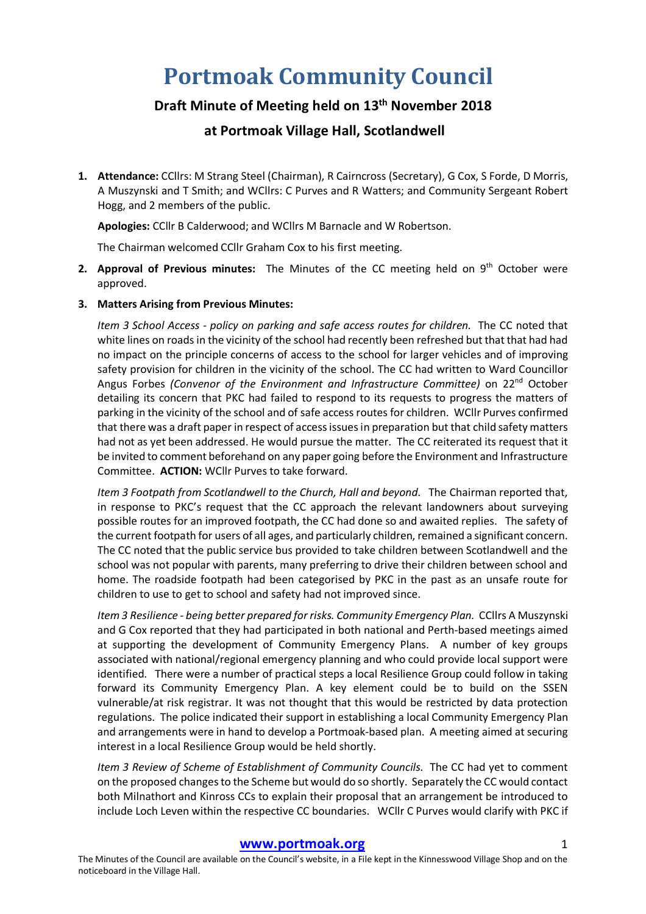# **Portmoak Community Council**

## **Draft Minute of Meeting held on 13th November 2018**

### **at Portmoak Village Hall, Scotlandwell**

**1. Attendance:** CCllrs: M Strang Steel (Chairman), R Cairncross (Secretary), G Cox, S Forde, D Morris, A Muszynski and T Smith; and WCllrs: C Purves and R Watters; and Community Sergeant Robert Hogg, and 2 members of the public.

**Apologies:** CCllr B Calderwood; and WCllrs M Barnacle and W Robertson.

The Chairman welcomed CCllr Graham Cox to his first meeting.

- 2. **Approval of Previous minutes:** The Minutes of the CC meeting held on 9<sup>th</sup> October were approved.
- **3. Matters Arising from Previous Minutes:**

*Item 3 School Access - policy on parking and safe access routes for children.* The CC noted that white lines on roads in the vicinity of the school had recently been refreshed but that that had had no impact on the principle concerns of access to the school for larger vehicles and of improving safety provision for children in the vicinity of the school. The CC had written to Ward Councillor Angus Forbes *(Convenor of the Environment and Infrastructure Committee)* on 22nd October detailing its concern that PKC had failed to respond to its requests to progress the matters of parking in the vicinity of the school and of safe access routes for children. WCllr Purves confirmed that there was a draft paper in respect of access issues in preparation but that child safety matters had not as yet been addressed. He would pursue the matter. The CC reiterated its request that it be invited to comment beforehand on any paper going before the Environment and Infrastructure Committee. **ACTION:** WCllr Purves to take forward.

*Item 3 Footpath from Scotlandwell to the Church, Hall and beyond*. The Chairman reported that, in response to PKC's request that the CC approach the relevant landowners about surveying possible routes for an improved footpath, the CC had done so and awaited replies. The safety of the current footpath for users of all ages, and particularly children, remained a significant concern. The CC noted that the public service bus provided to take children between Scotlandwell and the school was not popular with parents, many preferring to drive their children between school and home. The roadside footpath had been categorised by PKC in the past as an unsafe route for children to use to get to school and safety had not improved since.

*Item 3 Resilience - being better prepared for risks. Community Emergency Plan.* CCllrs A Muszynski and G Cox reported that they had participated in both national and Perth-based meetings aimed at supporting the development of Community Emergency Plans. A number of key groups associated with national/regional emergency planning and who could provide local support were identified. There were a number of practical steps a local Resilience Group could follow in taking forward its Community Emergency Plan. A key element could be to build on the SSEN vulnerable/at risk registrar. It was not thought that this would be restricted by data protection regulations. The police indicated their support in establishing a local Community Emergency Plan and arrangements were in hand to develop a Portmoak-based plan. A meeting aimed at securing interest in a local Resilience Group would be held shortly.

*Item 3 Review of Scheme of Establishment of Community Councils.* The CC had yet to comment on the proposed changes to the Scheme but would do so shortly. Separately the CC would contact both Milnathort and Kinross CCs to explain their proposal that an arrangement be introduced to include Loch Leven within the respective CC boundaries. WCllr C Purves would clarify with PKC if

#### **www.portmoak.org** 1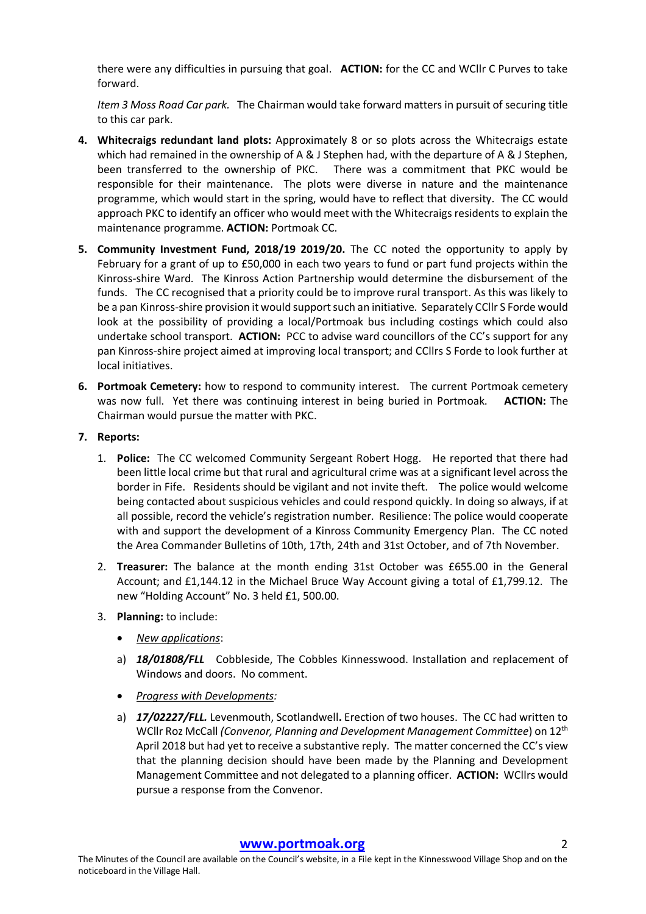there were any difficulties in pursuing that goal. **ACTION:** for the CC and WCllr C Purves to take forward.

*Item 3 Moss Road Car park.* The Chairman would take forward matters in pursuit of securing title to this car park.

- **4. Whitecraigs redundant land plots:** Approximately 8 or so plots across the Whitecraigs estate which had remained in the ownership of A & J Stephen had, with the departure of A & J Stephen, been transferred to the ownership of PKC. There was a commitment that PKC would be responsible for their maintenance. The plots were diverse in nature and the maintenance programme, which would start in the spring, would have to reflect that diversity. The CC would approach PKC to identify an officer who would meet with the Whitecraigs residents to explain the maintenance programme. **ACTION:** Portmoak CC.
- **5. Community Investment Fund, 2018/19 2019/20.** The CC noted the opportunity to apply by February for a grant of up to £50,000 in each two years to fund or part fund projects within the Kinross-shire Ward. The Kinross Action Partnership would determine the disbursement of the funds. The CC recognised that a priority could be to improve rural transport. As this was likely to be a pan Kinross-shire provision it would support such an initiative. Separately CCllr S Forde would look at the possibility of providing a local/Portmoak bus including costings which could also undertake school transport. **ACTION:** PCC to advise ward councillors of the CC's support for any pan Kinross-shire project aimed at improving local transport; and CCllrs S Forde to look further at local initiatives.
- **6. Portmoak Cemetery:** how to respond to community interest. The current Portmoak cemetery was now full. Yet there was continuing interest in being buried in Portmoak. **ACTION:** The Chairman would pursue the matter with PKC.
- **7. Reports:**
	- 1. **Police:** The CC welcomed Community Sergeant Robert Hogg. He reported that there had been little local crime but that rural and agricultural crime was at a significant level across the border in Fife. Residents should be vigilant and not invite theft. The police would welcome being contacted about suspicious vehicles and could respond quickly. In doing so always, if at all possible, record the vehicle's registration number. Resilience: The police would cooperate with and support the development of a Kinross Community Emergency Plan. The CC noted the Area Commander Bulletins of 10th, 17th, 24th and 31st October, and of 7th November.
	- 2. **Treasurer:** The balance at the month ending 31st October was £655.00 in the General Account; and £1,144.12 in the Michael Bruce Way Account giving a total of £1,799.12. The new "Holding Account" No. 3 held £1, 500.00.
	- 3. **Planning:** to include:
		- *New applications*:
		- a) *18/01808/FLL* Cobbleside, The Cobbles Kinnesswood. Installation and replacement of Windows and doors. No comment.
		- *Progress with Developments:*
		- a) *17/02227/FLL.* Levenmouth, Scotlandwell**.** Erection of two houses. The CC had written to WCllr Roz McCall *(Convenor, Planning and Development Management Committee*) on 12th April 2018 but had yet to receive a substantive reply. The matter concerned the CC's view that the planning decision should have been made by the Planning and Development Management Committee and not delegated to a planning officer. **ACTION:** WCllrs would pursue a response from the Convenor.